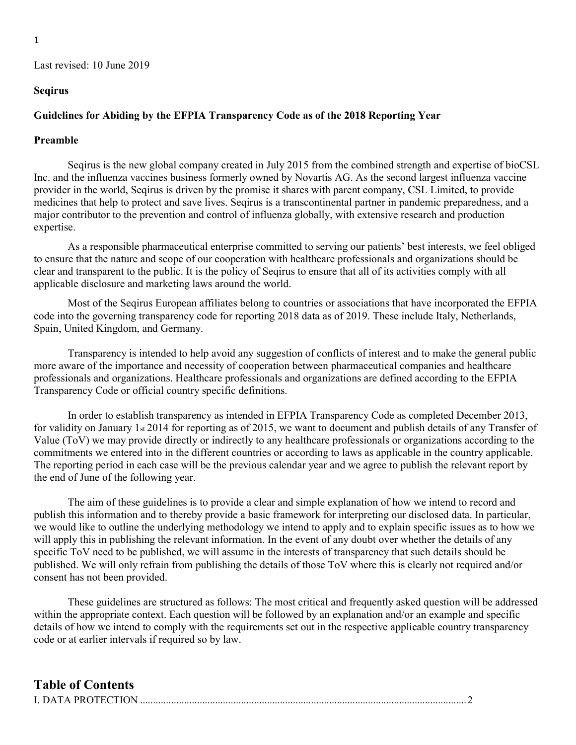#### Seqirus

#### Guidelines for Abiding by the EFPIA Transparency Code as of the 2018 Reporting Year

#### Preamble

Seqirus is the new global company created in July 2015 from the combined strength and expertise of bioCSL Inc. and the influenza vaccines business formerly owned by Novartis AG. As the second largest influenza vaccine provider in the world, Seqirus is driven by the promise it shares with parent company, CSL Limited, to provide medicines that help to protect and save lives. Seqirus is a transcontinental partner in pandemic preparedness, and a major contributor to the prevention and control of influenza globally, with extensive research and production expertise.

As a responsible pharmaceutical enterprise committed to serving our patients' best interests, we feel obliged to ensure that the nature and scope of our cooperation with healthcare professionals and organizations should be clear and transparent to the public. It is the policy of Seqirus to ensure that all of its activities comply with all applicable disclosure and marketing laws around the world.

Most of the Seqirus European affiliates belong to countries or associations that have incorporated the EFPIA code into the governing transparency code for reporting 2018 data as of 2019. These include Italy, Netherlands, Spain, United Kingdom, and Germany.

Transparency is intended to help avoid any suggestion of conflicts of interest and to make the general public more aware of the importance and necessity of cooperation between pharmaceutical companies and healthcare professionals and organizations. Healthcare professionals and organizations are defined according to the EFPIA Transparency Code or official country specific definitions.

In order to establish transparency as intended in EFPIA Transparency Code as completed December 2013, for validity on January 1st 2014 for reporting as of 2015, we want to document and publish details of any Transfer of Value (ToV) we may provide directly or indirectly to any healthcare professionals or organizations according to the commitments we entered into in the different countries or according to laws as applicable in the country applicable. The reporting period in each case will be the previous calendar year and we agree to publish the relevant report by the end of June of the following year.

The aim of these guidelines is to provide a clear and simple explanation of how we intend to record and publish this information and to thereby provide a basic framework for interpreting our disclosed data. In particular, we would like to outline the underlying methodology we intend to apply and to explain specific issues as to how we will apply this in publishing the relevant information. In the event of any doubt over whether the details of any specific ToV need to be published, we will assume in the interests of transparency that such details should be published. We will only refrain from publishing the details of those ToV where this is clearly not required and/or consent has not been provided.

These guidelines are structured as follows: The most critical and frequently asked question will be addressed within the appropriate context. Each question will be followed by an explanation and/or an example and specific details of how we intend to comply with the requirements set out in the respective applicable country transparency code or at earlier intervals if required so by law.

## Table of Contents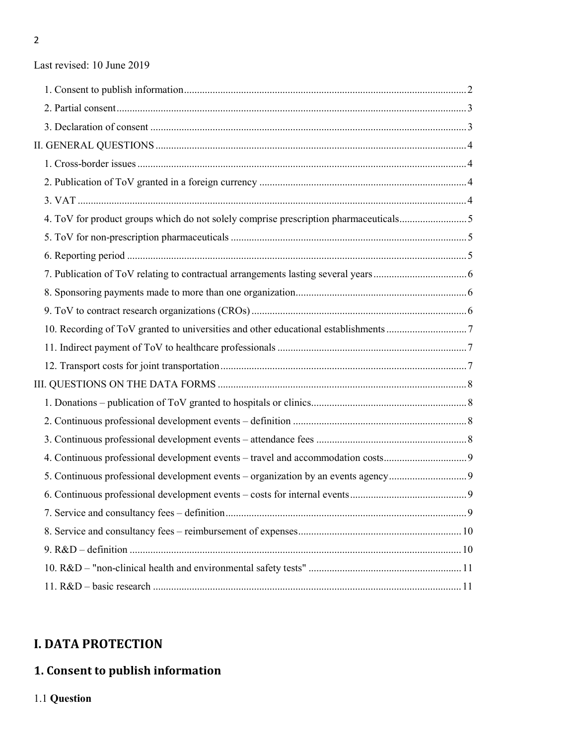| 4. ToV for product groups which do not solely comprise prescription pharmaceuticals5 |  |
|--------------------------------------------------------------------------------------|--|
|                                                                                      |  |
|                                                                                      |  |
|                                                                                      |  |
|                                                                                      |  |
|                                                                                      |  |
|                                                                                      |  |
|                                                                                      |  |
|                                                                                      |  |
|                                                                                      |  |
|                                                                                      |  |
|                                                                                      |  |
|                                                                                      |  |
| 4. Continuous professional development events – travel and accommodation costs       |  |
| 5. Continuous professional development events – organization by an events agency     |  |
|                                                                                      |  |
|                                                                                      |  |
|                                                                                      |  |
|                                                                                      |  |
|                                                                                      |  |
|                                                                                      |  |

## I. DATA PROTECTION

# 1. Consent to publish information

1.1 Question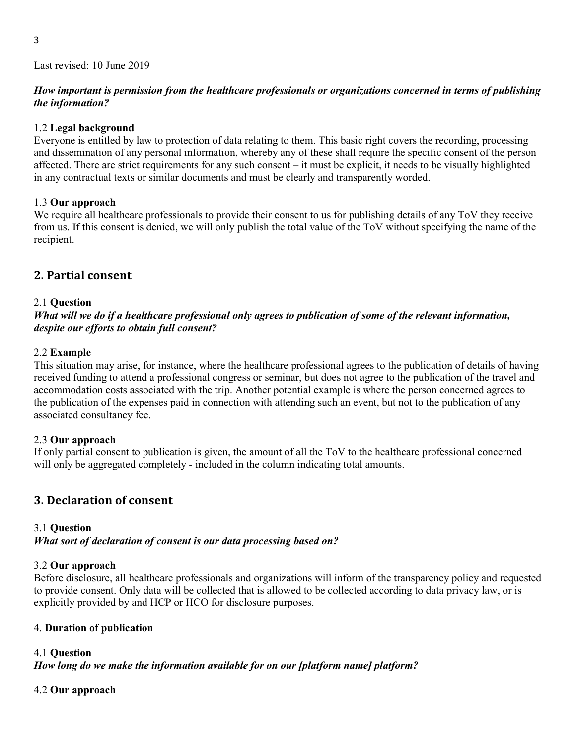### How important is permission from the healthcare professionals or organizations concerned in terms of publishing the information?

### 1.2 Legal background

Everyone is entitled by law to protection of data relating to them. This basic right covers the recording, processing and dissemination of any personal information, whereby any of these shall require the specific consent of the person affected. There are strict requirements for any such consent – it must be explicit, it needs to be visually highlighted in any contractual texts or similar documents and must be clearly and transparently worded.

### 1.3 Our approach

We require all healthcare professionals to provide their consent to us for publishing details of any ToV they receive from us. If this consent is denied, we will only publish the total value of the ToV without specifying the name of the recipient.

## 2. Partial consent

### 2.1 Question

What will we do if a healthcare professional only agrees to publication of some of the relevant information, despite our efforts to obtain full consent?

### 2.2 Example

This situation may arise, for instance, where the healthcare professional agrees to the publication of details of having received funding to attend a professional congress or seminar, but does not agree to the publication of the travel and accommodation costs associated with the trip. Another potential example is where the person concerned agrees to the publication of the expenses paid in connection with attending such an event, but not to the publication of any associated consultancy fee.

### 2.3 Our approach

If only partial consent to publication is given, the amount of all the ToV to the healthcare professional concerned will only be aggregated completely - included in the column indicating total amounts.

## 3. Declaration of consent

## 3.1 Question

What sort of declaration of consent is our data processing based on?

### 3.2 Our approach

Before disclosure, all healthcare professionals and organizations will inform of the transparency policy and requested to provide consent. Only data will be collected that is allowed to be collected according to data privacy law, or is explicitly provided by and HCP or HCO for disclosure purposes.

### 4. Duration of publication

## 4.1 Question

How long do we make the information available for on our [platform name] platform?

### 4.2 Our approach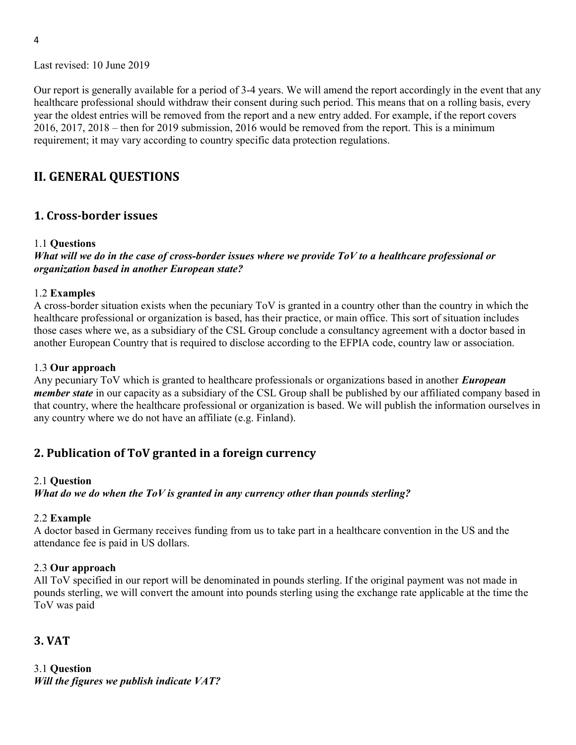Our report is generally available for a period of 3-4 years. We will amend the report accordingly in the event that any healthcare professional should withdraw their consent during such period. This means that on a rolling basis, every year the oldest entries will be removed from the report and a new entry added. For example, if the report covers 2016, 2017, 2018 – then for 2019 submission, 2016 would be removed from the report. This is a minimum requirement; it may vary according to country specific data protection regulations.

## II. GENERAL QUESTIONS

## 1. Cross-border issues

#### 1.1 Questions

What will we do in the case of cross-border issues where we provide ToV to a healthcare professional or organization based in another European state?

#### 1.2 Examples

A cross-border situation exists when the pecuniary ToV is granted in a country other than the country in which the healthcare professional or organization is based, has their practice, or main office. This sort of situation includes those cases where we, as a subsidiary of the CSL Group conclude a consultancy agreement with a doctor based in another European Country that is required to disclose according to the EFPIA code, country law or association.

#### 1.3 Our approach

Any pecuniary ToV which is granted to healthcare professionals or organizations based in another *European* member state in our capacity as a subsidiary of the CSL Group shall be published by our affiliated company based in that country, where the healthcare professional or organization is based. We will publish the information ourselves in any country where we do not have an affiliate (e.g. Finland).

## 2. Publication of ToV granted in a foreign currency

#### 2.1 Question

What do we do when the ToV is granted in any currency other than pounds sterling?

#### 2.2 Example

A doctor based in Germany receives funding from us to take part in a healthcare convention in the US and the attendance fee is paid in US dollars.

### 2.3 Our approach

All ToV specified in our report will be denominated in pounds sterling. If the original payment was not made in pounds sterling, we will convert the amount into pounds sterling using the exchange rate applicable at the time the ToV was paid

## 3. VAT

3.1 Question Will the figures we publish indicate VAT?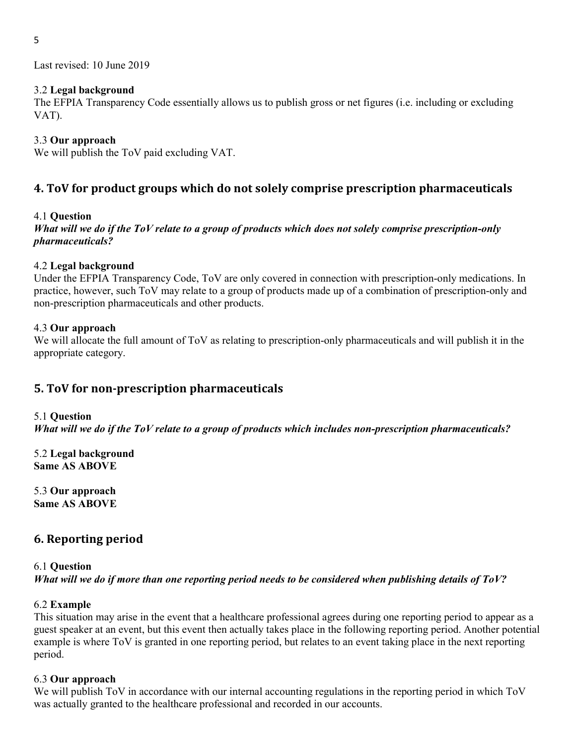### 3.2 Legal background

The EFPIA Transparency Code essentially allows us to publish gross or net figures (i.e. including or excluding VAT).

## 3.3 Our approach

We will publish the ToV paid excluding VAT.

## 4. ToV for product groups which do not solely comprise prescription pharmaceuticals

### 4.1 Question

What will we do if the ToV relate to a group of products which does not solely comprise prescription-only pharmaceuticals?

### 4.2 Legal background

Under the EFPIA Transparency Code, ToV are only covered in connection with prescription-only medications. In practice, however, such ToV may relate to a group of products made up of a combination of prescription-only and non-prescription pharmaceuticals and other products.

### 4.3 Our approach

We will allocate the full amount of ToV as relating to prescription-only pharmaceuticals and will publish it in the appropriate category.

## 5. ToV for non-prescription pharmaceuticals

### 5.1 Question

What will we do if the ToV relate to a group of products which includes non-prescription pharmaceuticals?

5.2 Legal background Same AS ABOVE

5.3 Our approach Same AS ABOVE

## 6. Reporting period

### 6.1 Question What will we do if more than one reporting period needs to be considered when publishing details of ToV?

## 6.2 Example

This situation may arise in the event that a healthcare professional agrees during one reporting period to appear as a guest speaker at an event, but this event then actually takes place in the following reporting period. Another potential example is where ToV is granted in one reporting period, but relates to an event taking place in the next reporting period.

### 6.3 Our approach

We will publish ToV in accordance with our internal accounting regulations in the reporting period in which ToV was actually granted to the healthcare professional and recorded in our accounts.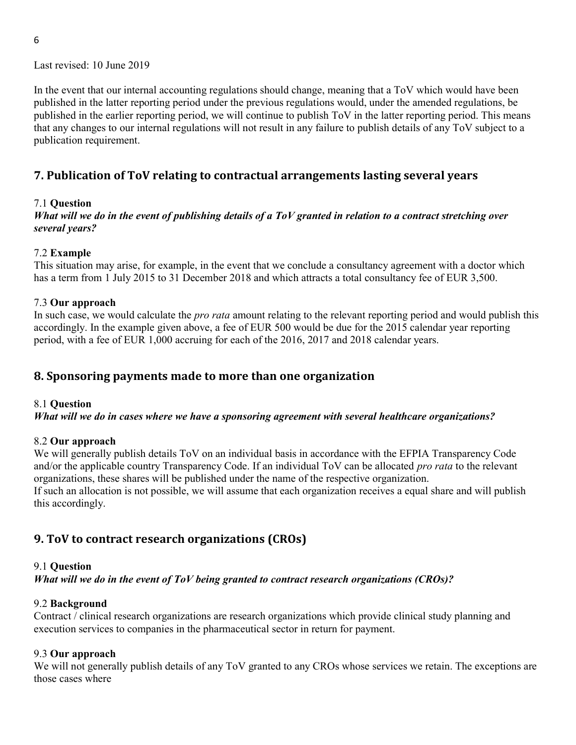In the event that our internal accounting regulations should change, meaning that a ToV which would have been published in the latter reporting period under the previous regulations would, under the amended regulations, be published in the earlier reporting period, we will continue to publish ToV in the latter reporting period. This means that any changes to our internal regulations will not result in any failure to publish details of any ToV subject to a publication requirement.

## 7. Publication of ToV relating to contractual arrangements lasting several years

### 7.1 Question

What will we do in the event of publishing details of a ToV granted in relation to a contract stretching over several years?

#### 7.2 Example

This situation may arise, for example, in the event that we conclude a consultancy agreement with a doctor which has a term from 1 July 2015 to 31 December 2018 and which attracts a total consultancy fee of EUR 3,500.

#### 7.3 Our approach

In such case, we would calculate the *pro rata* amount relating to the relevant reporting period and would publish this accordingly. In the example given above, a fee of EUR 500 would be due for the 2015 calendar year reporting period, with a fee of EUR 1,000 accruing for each of the 2016, 2017 and 2018 calendar years.

## 8. Sponsoring payments made to more than one organization

#### 8.1 Question

What will we do in cases where we have a sponsoring agreement with several healthcare organizations?

#### 8.2 Our approach

We will generally publish details ToV on an individual basis in accordance with the EFPIA Transparency Code and/or the applicable country Transparency Code. If an individual ToV can be allocated *pro rata* to the relevant organizations, these shares will be published under the name of the respective organization. If such an allocation is not possible, we will assume that each organization receives a equal share and will publish this accordingly.

## 9. ToV to contract research organizations (CROs)

#### 9.1 Question

What will we do in the event of ToV being granted to contract research organizations (CROs)?

#### 9.2 Background

Contract / clinical research organizations are research organizations which provide clinical study planning and execution services to companies in the pharmaceutical sector in return for payment.

#### 9.3 Our approach

We will not generally publish details of any ToV granted to any CROs whose services we retain. The exceptions are those cases where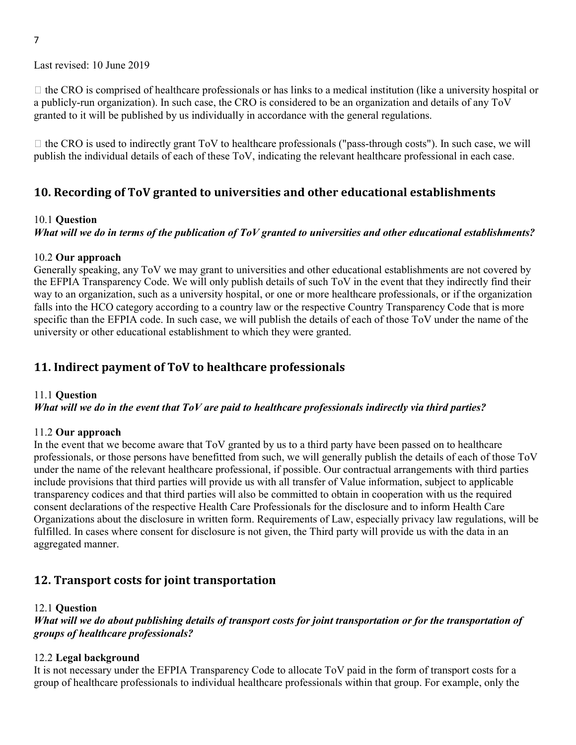7

Last revised: 10 June 2019

 $\Box$  the CRO is comprised of healthcare professionals or has links to a medical institution (like a university hospital or a publicly-run organization). In such case, the CRO is considered to be an organization and details of any ToV granted to it will be published by us individually in accordance with the general regulations.

 $\Box$  the CRO is used to indirectly grant ToV to healthcare professionals ("pass-through costs"). In such case, we will publish the individual details of each of these ToV, indicating the relevant healthcare professional in each case.

## 10. Recording of ToV granted to universities and other educational establishments

#### 10.1 Question

## What will we do in terms of the publication of ToV granted to universities and other educational establishments?

#### 10.2 Our approach

Generally speaking, any ToV we may grant to universities and other educational establishments are not covered by the EFPIA Transparency Code. We will only publish details of such ToV in the event that they indirectly find their way to an organization, such as a university hospital, or one or more healthcare professionals, or if the organization falls into the HCO category according to a country law or the respective Country Transparency Code that is more specific than the EFPIA code. In such case, we will publish the details of each of those ToV under the name of the university or other educational establishment to which they were granted.

## 11. Indirect payment of ToV to healthcare professionals

#### 11.1 Question

#### What will we do in the event that ToV are paid to healthcare professionals indirectly via third parties?

#### 11.2 Our approach

In the event that we become aware that ToV granted by us to a third party have been passed on to healthcare professionals, or those persons have benefitted from such, we will generally publish the details of each of those ToV under the name of the relevant healthcare professional, if possible. Our contractual arrangements with third parties include provisions that third parties will provide us with all transfer of Value information, subject to applicable transparency codices and that third parties will also be committed to obtain in cooperation with us the required consent declarations of the respective Health Care Professionals for the disclosure and to inform Health Care Organizations about the disclosure in written form. Requirements of Law, especially privacy law regulations, will be fulfilled. In cases where consent for disclosure is not given, the Third party will provide us with the data in an aggregated manner.

## 12. Transport costs for joint transportation

#### 12.1 Question

### What will we do about publishing details of transport costs for joint transportation or for the transportation of groups of healthcare professionals?

### 12.2 Legal background

It is not necessary under the EFPIA Transparency Code to allocate ToV paid in the form of transport costs for a group of healthcare professionals to individual healthcare professionals within that group. For example, only the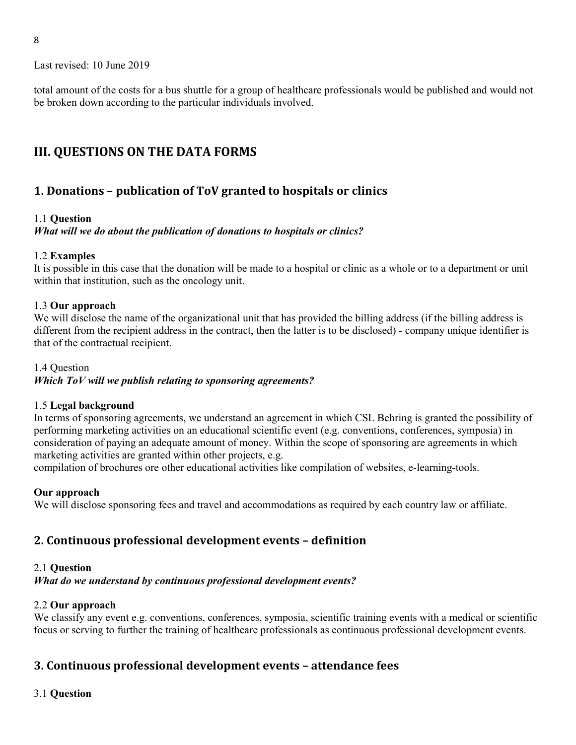total amount of the costs for a bus shuttle for a group of healthcare professionals would be published and would not be broken down according to the particular individuals involved.

## III. QUESTIONS ON THE DATA FORMS

## 1. Donations – publication of ToV granted to hospitals or clinics

### 1.1 Question

What will we do about the publication of donations to hospitals or clinics?

#### 1.2 Examples

It is possible in this case that the donation will be made to a hospital or clinic as a whole or to a department or unit within that institution, such as the oncology unit.

#### 1.3 Our approach

We will disclose the name of the organizational unit that has provided the billing address (if the billing address is different from the recipient address in the contract, then the latter is to be disclosed) - company unique identifier is that of the contractual recipient.

#### 1.4 Question

Which ToV will we publish relating to sponsoring agreements?

### 1.5 Legal background

In terms of sponsoring agreements, we understand an agreement in which CSL Behring is granted the possibility of performing marketing activities on an educational scientific event (e.g. conventions, conferences, symposia) in consideration of paying an adequate amount of money. Within the scope of sponsoring are agreements in which marketing activities are granted within other projects, e.g.

compilation of brochures ore other educational activities like compilation of websites, e-learning-tools.

### Our approach

We will disclose sponsoring fees and travel and accommodations as required by each country law or affiliate.

## 2. Continuous professional development events – definition

#### 2.1 Question

What do we understand by continuous professional development events?

### 2.2 Our approach

We classify any event e.g. conventions, conferences, symposia, scientific training events with a medical or scientific focus or serving to further the training of healthcare professionals as continuous professional development events.

## 3. Continuous professional development events – attendance fees

### 3.1 Question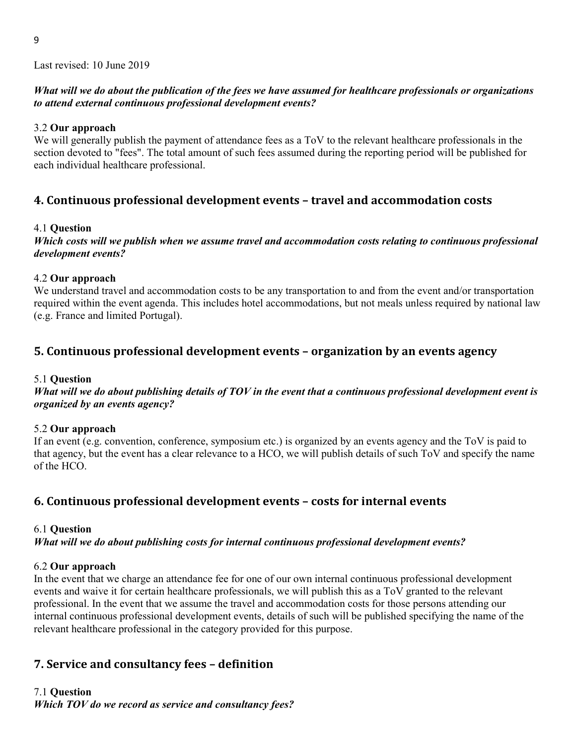### What will we do about the publication of the fees we have assumed for healthcare professionals or organizations to attend external continuous professional development events?

### 3.2 Our approach

We will generally publish the payment of attendance fees as a ToV to the relevant healthcare professionals in the section devoted to "fees". The total amount of such fees assumed during the reporting period will be published for each individual healthcare professional.

## 4. Continuous professional development events – travel and accommodation costs

### 4.1 Question

Which costs will we publish when we assume travel and accommodation costs relating to continuous professional development events?

#### 4.2 Our approach

We understand travel and accommodation costs to be any transportation to and from the event and/or transportation required within the event agenda. This includes hotel accommodations, but not meals unless required by national law (e.g. France and limited Portugal).

## 5. Continuous professional development events – organization by an events agency

### 5.1 Question

What will we do about publishing details of TOV in the event that a continuous professional development event is organized by an events agency?

### 5.2 Our approach

If an event (e.g. convention, conference, symposium etc.) is organized by an events agency and the ToV is paid to that agency, but the event has a clear relevance to a HCO, we will publish details of such ToV and specify the name of the HCO.

## 6. Continuous professional development events – costs for internal events

### 6.1 Question

What will we do about publishing costs for internal continuous professional development events?

### 6.2 Our approach

In the event that we charge an attendance fee for one of our own internal continuous professional development events and waive it for certain healthcare professionals, we will publish this as a ToV granted to the relevant professional. In the event that we assume the travel and accommodation costs for those persons attending our internal continuous professional development events, details of such will be published specifying the name of the relevant healthcare professional in the category provided for this purpose.

## 7. Service and consultancy fees – definition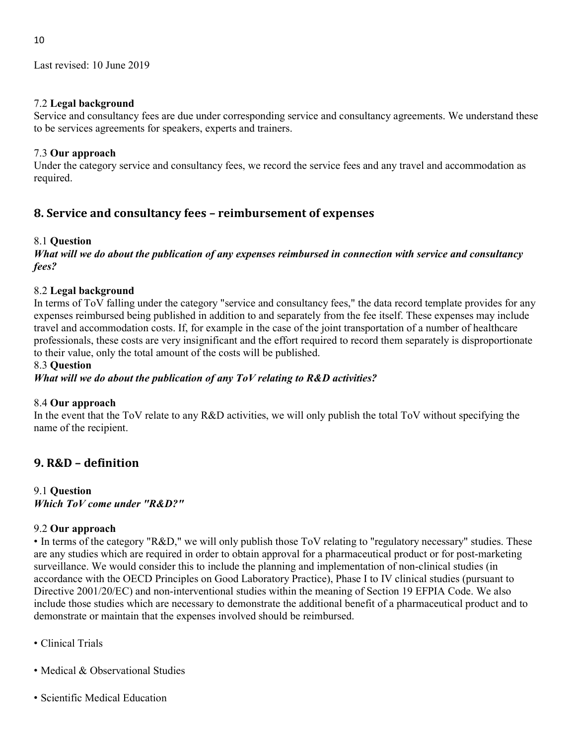### 7.2 Legal background

Service and consultancy fees are due under corresponding service and consultancy agreements. We understand these to be services agreements for speakers, experts and trainers.

## 7.3 Our approach

Under the category service and consultancy fees, we record the service fees and any travel and accommodation as required.

## 8. Service and consultancy fees – reimbursement of expenses

## 8.1 Question

What will we do about the publication of any expenses reimbursed in connection with service and consultancy fees?

## 8.2 Legal background

In terms of ToV falling under the category "service and consultancy fees," the data record template provides for any expenses reimbursed being published in addition to and separately from the fee itself. These expenses may include travel and accommodation costs. If, for example in the case of the joint transportation of a number of healthcare professionals, these costs are very insignificant and the effort required to record them separately is disproportionate to their value, only the total amount of the costs will be published.

### 8.3 Question

What will we do about the publication of any ToV relating to R&D activities?

## 8.4 Our approach

In the event that the ToV relate to any R&D activities, we will only publish the total ToV without specifying the name of the recipient.

## 9. R&D – definition

# 9.1 Question

Which ToV come under "R&D?"

## 9.2 Our approach

• In terms of the category "R&D," we will only publish those ToV relating to "regulatory necessary" studies. These are any studies which are required in order to obtain approval for a pharmaceutical product or for post-marketing surveillance. We would consider this to include the planning and implementation of non-clinical studies (in accordance with the OECD Principles on Good Laboratory Practice), Phase I to IV clinical studies (pursuant to Directive 2001/20/EC) and non-interventional studies within the meaning of Section 19 EFPIA Code. We also include those studies which are necessary to demonstrate the additional benefit of a pharmaceutical product and to demonstrate or maintain that the expenses involved should be reimbursed.

- Clinical Trials
- Medical & Observational Studies
- Scientific Medical Education